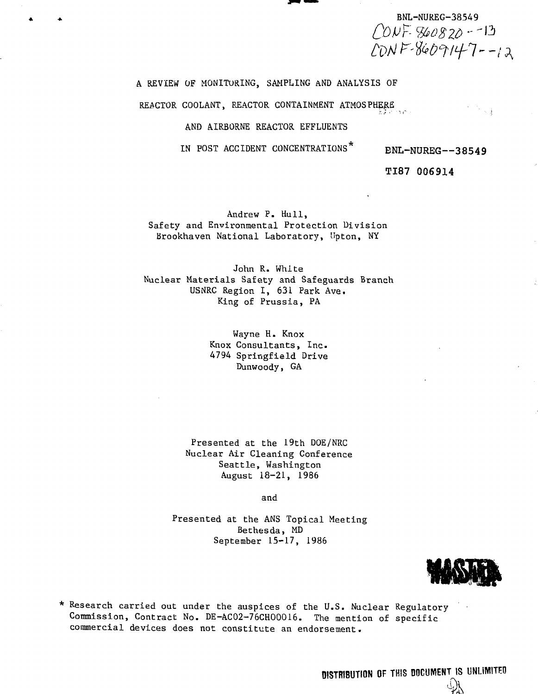BNL-NUREG-38549<br>  $ODF- B00820 - 13$  $LONF-8609147--12$ 

A REVIEW OF MONITORING, SAMPLING AND ANALYSIS OF

REACTOR COOLANT, REACTOR CONTAINMENT ATMOSPHERE

### AND AIRBORNE REACTOR EFFLUENTS

IN POST ACCIDENT CONCENTRATIONS<sup>\*</sup> BNL-NUREG--38549

TI87 006914

Andrew P. Hull, Safety and Environmental Protection Division Brookhaven National Laboratory, Upton, NY

John R. White Nuclear Materials Safety and Safeguards Branch USNRC Region I, 631 Park Ave. King of Prussia, PA

> Wayne H. Knox Knox Consultants, Inc. 4794 Springfield Drive Dunwoody, GA

Presented at the 19th DOE/NRC Nuclear Air Cleaning Conference Seattle, Washington August 18-21, 1986

and

Presented at the ANS Topical Meeting Bethesda, MD September 15-17, 1986



**M s**

\* Research carried out under the auspices of the U.S. Nuclear Regulatory Commission, Contract No. DE-ACO2-76CHOOO16. The mention of specific commercial devices does not constitute an endorsement.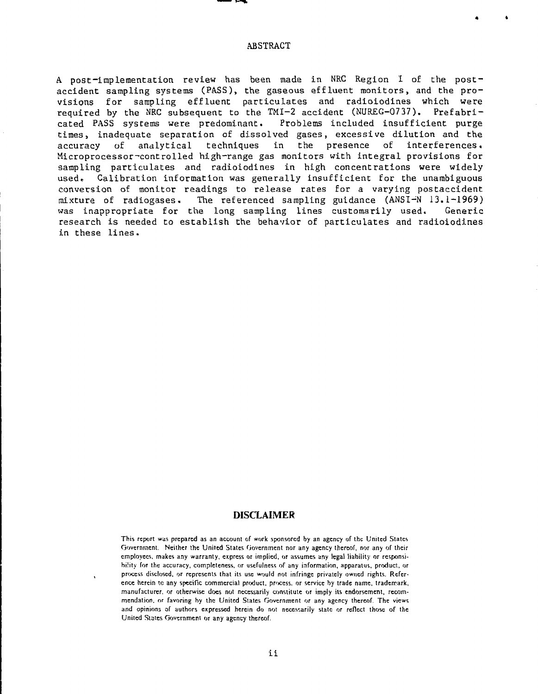#### ABSTRACT

A post-implementation review has been made in NRC Region I of the postaccident sampling systems (PASS), the gaseous effluent monitors, and the provisions for sampling effluent particulates and radioiodines which were required by the NRC subsequent to the TMI-2 accident (NUREG-0737). Prefabricated PASS systems were predominant. Problems included insufficient purge times, inadequate separation of dissolved gases, excessive dilution and the accuracy of analytical techniques in the presence of interferences. Microprocessor-controlled high-range gas monitors with integral provisions for sampling particulates and radioiodines in high concentrations were widely used, Calibration information was generally insufficient for the unambiguous conversion of monitor readings to release rates for a varying postaccident mixture of radiogases. The referenced sampling guidance (ANSI-'N 13.1-1969) was inappropriate for the long sampling lines customarily used. Generic research is needed to establish the behavior of particulates and radioiodines in these lines.

## DISCLAIMER

This report was prepared as an account of work sponsored by an agency of the United States Government. Neither the United States Government nor any agency thereof, nor any of their employees, makes any warranty, express or implied, or assumes any legal liability or responsibility for the accuracy, completeness, or usefulness of any information, apparatus, product, or process disclosed, or represents that its use would not infringe privately owned rights. Reference herein tc any specific commercial product, process, or service by trade name, trademark, manufacturer, or otherwise does not necessarily constitute or imply its endorsement, recommendation, or favoring by the United States Government or any agency thereof. The views and opinions of authors expressed herein do not necessarily state or reflect those of the United States Government or any agency thereof.

**i i**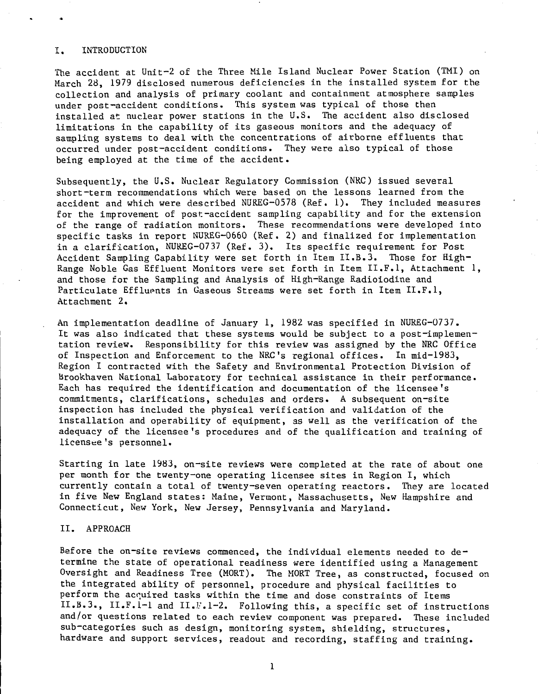#### I. INTRODUCTION

The accident at Unit-2 of the Three Mile Island Nuclear Power Station (TMI) on March 28, 1979 disclosed numerous deficiencies in the installed system for the collection and analysis of primary coolant and containment atmosphere samples under post-accident conditions. This system was typical of those then installed at nuclear power stations in the U.S. The accident also disclosed limitations in the capability of its gaseous monitors and the adequacy of sampling systems to deal with the concentrations of airborne effluents that occurred under post-accident conditions. They were also typical of those being employed at the time of the accident.

Subsequently, the U.S. Nuclear Regulatory Commission (NRC) issued several short-term recommendations which were based on the lessons learned from the accident and which were described NUREG-0578 (Ref. 1). They included measures for the improvement of post-accident sampling capability and for the extension of the range of radiation monitors. These recommendations were developed into specific tasks in report NUREG-0660 (Ref. 2) and finalized for implementation in a clarification, NUREG-0737 (Ref. 3), Its specific requirement for Post Accident Sampling Capability were set forth in Item II.B.3. Those for High-Range Noble Gas Effluent Monitors were set forth in Item II.F.I, Attachment 1, and those for the Sampling and Analysis of High-Range Radioiodine and Particulate Effluents in Gaseous Streams were set forth in Item II.F.1, Attachment 2.

An implementation deadline of January 1, 1982 was specified in NUREG-0737. It was also indicated that these systems would be subject to a post-implementation review. Responsibility for this review was assigned by the NRC Office of Inspection and Enforcement to the NRC's regional offices. In mid-1983, Region I contracted with the Safety and Environmental Protection Division of Brookhaven National Laboratory for technical assistance in their performance. Each has required the identification and documentation of the licensee's commitments, clarifications, schedules and orders. A subsequent on-site inspection has included the physical verification and validation of the installation and operability of equipment, as well as the verification of the adequacy of the licensee 's procedures and of the qualification and training of licensee's personnel.

Starting in late 1983, on-site reviews were completed at the rate of about one per month for the twenty-one operating licensee sites in Region I, which currently contain a total of twenty-seven operating reactors. They are located in five New England states: Maine, Vermont, Massachusetts, New Hampshire and Connecticut, New York, New Jersey, Pennsylvania and Maryland.

## II. APPROACH

Before the on-site reviews commenced, the individual elements needed to determine the state of operational readiness were identified using a Management Oversight and Readiness Tree (MORT). The MORT Tree, as constructed, focused on the integrated ability of personnel, procedure and physical facilities to perform the acquired tasks within the time and dose constraints of Items II.B.3., II.F.1-1 and II.F.1-2. Following this, a specific set of instructions and/or questions related to each review component was prepared. These included sub-categories such as design, monitoring system, shielding, structures, hardware and support services, readout and recording, staffing and training.

1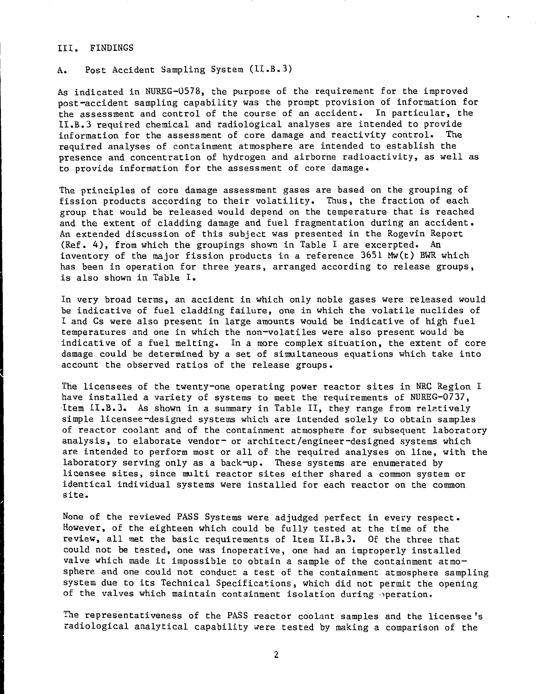#### III. FINDINGS

A. Post Accident Sampling System (II.B.3)

As indicated in NUREG-0578, the purpose of the requirement for the improved post-accident sampling capability was the prompt provision of information for the assessment and control of the course of an accident. In particular, the II.B.3 required chemical and radiological analyses are intended to provide information for the assessment of core damage and reactivity control. The required analyses of containment atmosphere are intended to establish the presence and concentration of hydrogen and airborne radioactivity, as well as to provide information for the assessment of core damage.

The principles of core damage assessment gases are based on the grouping of fission products according to their volatility. Thus, the fraction of each group that would be released would depend on the temperature that is reached and the extent of cladding damage and fuel fragmentation during an accident. An extended discussion of this subject was presented in the Rogevin Report (Ref. 4) , from which the groupings shown in Table I are excerpted. An inventory of the major fission products in a reference 3651 Mw(t) BWR which has been in operation for three years, arranged according to release groups, is also shown in Table I.

In very broad terms, an accident in which only noble gases were released would be indicative of fuel cladding failure, one in which the volatile nuclides of I and Cs were also present in large amounts would be indicative of high fuel temperatures and one in which the non-volatiles were also present would be indicative of a fuel melting. In a more complex situation, the extent of core damage could be determined by a set of simultaneous equations which take into account the observed ratios of the release groups.

The licensees of the twenty-one operating power reactor sites in NRC Region I have installed a variety of systems to meet the requirements of NUREG-0737, Item II.B.3. As shown in a summary in Table II, they range from relatively simple licensee-designed systems which are intended solely to obtain samples of reactor coolant and of the containment atmosphere for subsequent laboratory analysis, to elaborate vendor- or architect/engineer-designed systems which are intended to perform most or all of the required analyses on line, with the laboratory serving only as a back-up. These systems are enumerated by licensee sites, since multi reactor sites either shared a common system or identical individual systems were installed for each reactor on the common site.

None of the reviewed PASS Systems were adjudged perfect in every respect. However, of the eighteen which could be fully tested at the time of the review, all met the basic requirements of Item II.B.3. Of the three that could not be tested, one was inoperative, one had an improperly installed valve which made it impossible to obtain a sample of the containment atmosphere and one could not conduct a test of the containment atmosphere sampling system due to its Technical Specifications, which did not permit the opening of the valves which maintain containment isolation during operation.

The representativeness of the PASS reactor coolant samples and the licensee's radiological analytical capability were tested by making a comparison of the

 $\overline{2}$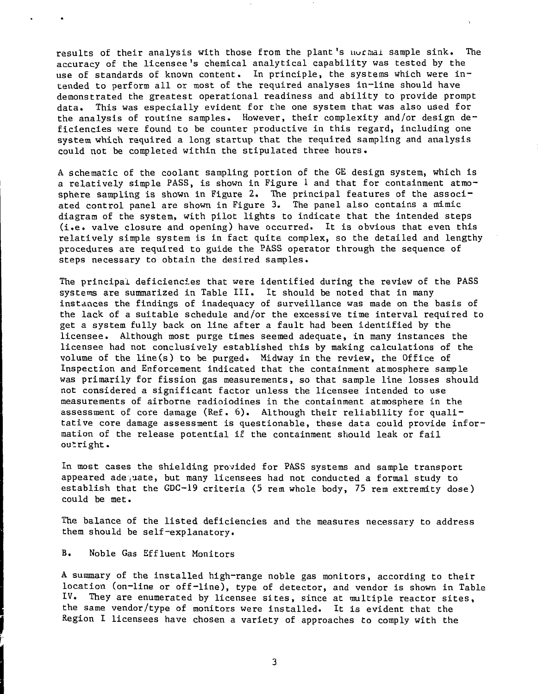results of their analysis with those from the plant's normal sample sink. The accuracy of the licensee's chemical analytical capability was tested by the use of standards of known content. In principle, the systems which were intended to perform all or most of the required analyses in-line should have demonstrated the greatest operational readiness and ability to provide prompt data. This was especially evident for the one system that was also used for the analysis of routine samples. However, their complexity and/or design deficiencies were found to be counter productive in this regard, including one system which required a long startup that the required sampling and analysis could not be completed within the stipulated three hours.

A schematic of the coolant sampling portion of the GE design system, which is a relatively simple PASS, is shown in Figure 1 and that for containment atmosphere sampling is shown in Figure 2. The principal features of the associated control panel are shown in Figure 3. The panel also contains a mimic diagram of the system, with pilot lights to indicate that the intended steps (i.e. valve closure and opening) have occurred. It is obvious that even this relatively simple system is in fact quite complex, so the detailed and lengthy procedures are required to guide the PASS operator through the sequence of steps necessary to obtain the desired samples.

The principal deficiencies that were identified during the review of the PASS systems are summarized in Table III. It should be noted that in many instances the findings of inadequacy of surveillance was made on the basis of the lack of a suitable schedule and/or the excessive time interval required to get a system fully back on line after a fault had been identified by the licensee. Although most purge times seemed adequate, in many instances the licensee had not conclusively established this by making calculations of the volume of the line(s) to be purged. Midway in the review, the Office of Inspection and Enforcement indicated that the containment atmosphere sample was primarily for fission gas measurements, so that sample line losses should not considered a significant factor unless the licensee intended to use measurements of airborne radioiodines in the containment atmosphere in the assessment of core damage (Ref. 6). Although their reliability for qualitative core damage assessment is questionable, these data could provide information of the release potential if the containment should leak or fail outright.

In most cases the shielding provided for PASS systems and sample transport appeared adequate, but many licensees had not conducted a formal study to establish that the GDC-19 criteria (5 rem whole body, 75 rem extremity dose) could be met.

The balance of the listed deficiencies and the measures necessary to address them should be self-explanatory.

#### B. Noble Gas Effluent Monitors

A summary of the installed high-range noble gas monitors, according to their location (on-line or off-line), type of detector, and vendor is shown in Table<br>IV. They are enumerated by licensee sites, since at multiple reactor sites. They are enumerated by licensee sites, since at multiple reactor sites, the same vendor/type of monitors were installed. It is evident that the Region I licensees have chosen a variety of approaches to comply with the

3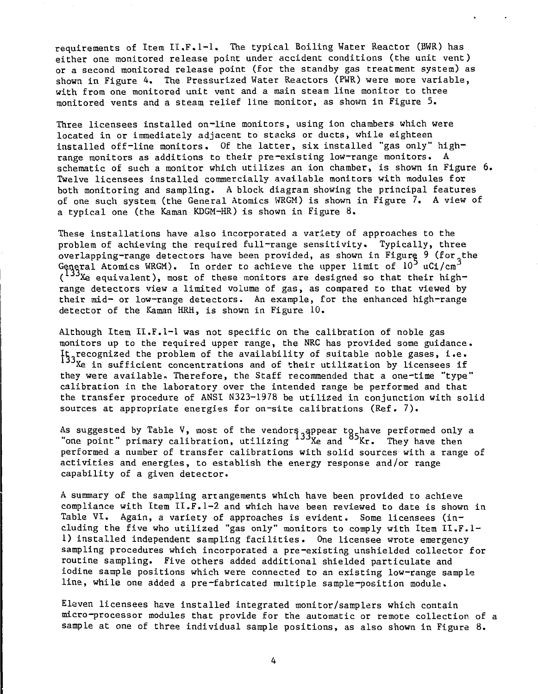requirements of Item II.F.1-1. The typical Boiling Water Reactor (BWR) has either one monitored release point under accident conditions (the unit vent) or a second monitored release point (for the standby gas treatment system) as shown in Figure 4. The Pressurized Water Reactors (PWR) were more variable, with from one monitored unit vent and a main steam line monitor to three monitored vents and a steam relief line monitor, as shown in Figure 5.

Three licensees installed on-line monitors, using ion chambers which were located in or immediately adjacent to stacks or ducts, while eighteen installed off-line monitors. Of the latter, six installed "gas only" highrange monitors as additions to their pre-existing low-range monitors. A schematic of such a monitor which utilizes an ion chamber, is shown in Figure 6. Twelve licensees installed commercially available monitors with modules for both monitoring and sampling. A block diagram showing the principal features of one such system (the General Atomics WRGM) is shown in Figure 7. A view of a typical one (the Kaman KDGM-HR) is shown in Figure 8.

These installations have also incorporated a variety of approaches to the problem of achieving the required full-range sensitivity. Typically, three overlapping-range detectors have been provided, as shown in Figure 9 (for the General Atomics WRGM). In order to achieve the upper limit of  $10^5$  uCi/cm  $(133X_e$  equivalent), most of these monitors are designed so that their highrange detectors view a limited volume of gas, as compared to that viewed by their mid- or low-range detectors. An example, for the enhanced high-range detector of the Kaman HRH, is shown in Figure 10.

Although Item II.F.1-1 was not specific on the calibration of noble gas monitors up to the required upper range, the NRC has provided some guidance.  $\mathfrak{I}_5$ , recognized the problem of the availability of suitable noble gases, i.e. Xe in sufficient concentrations and of their utilization by licensees if they were available. Therefore, the Staff recommended that a one-time "type" calibration in the laboratory over the intended range be performed and that the transfer procedure of ANSI N323-1978 be utilized in conjunction with solid sources at appropriate energies for on-site calibrations (Ref. 7).

As suggested by Table V, most of the vendors appear to have performed only a "one point" primary calibration, utilizing <sup>199</sup>Xe and <sup>09</sup>Kr. They have then performed a number of transfer calibrations with solid sources with a range of activities and energies, to establish the energy response and/or range capability of a given detector.

A summary of the sampling arrangements which have been provided to achieve compliance with Item II.F.1-2 and which have been reviewed to date is shown in Table VI. Again, a variety of approaches is evident. Some licensees (including the five who utilized "gas only" monitors to comply with Item II.F.l-1) installed independent sampling facilities. One licensee wrote emergency sampling procedures which incorporated a pre-existing unshielded collector for routine sampling. Five others added additional shielded particulate and iodine sample positions which were connected to an existing low-range sample line, while one added a pre-fabricated multiple sample-position module.

Eleven licensees have installed integrated monitor/samplers which contain micro-processor modules that provide for the automatic or remote collection of a sample at one of three individual sample positions, as also shown in Figure 8.

4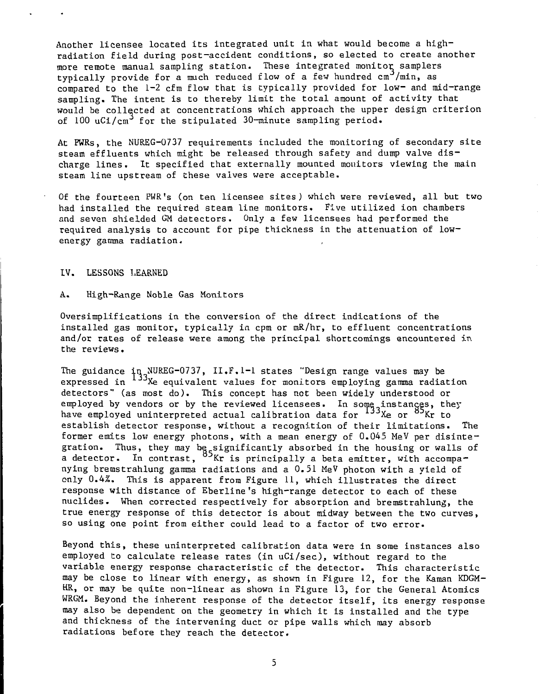Another licensee located its integrated unit in what would become a highradiation field during post-accident conditions, so elected to create another more remote manual sampling station. These integrated monitor samplers typically provide for a much reduced flow of a few hundred cm<sup>3</sup>/min, as compared to the 1-2 cfm flow that is typically provided for low- and mid-range sampling. The intent is to thereby limit the total amount of activity that would be collected at concentrations which approach the upper design criterion of 100 uCi/cm<sup>3</sup> for the stipulated 30-minute sampling period.

At PWRs, the NUREG-0737 requirements included the monitoring of secondary site steam effluents which might be released through safety and dump valve discharge lines. It specified that externally mounted monitors viewing the main steam line upstream of these valves were acceptable.

Of the fourteen PWR's (on ten licensee sites) which were reviewed, all but two had installed the required steam line monitors. Five utilized ion chambers and seven shielded GM detectors. Only a few licensees had performed the required analysis to account for pipe thickness in the attenuation of lowenergy gamma radiation.

#### IV. LESSONS LEARNED

### A. High-Range Noble Gas Monitors

Oversimplifications in the conversion of the direct indications of the installed gas monitor, typically in cpm or mR/hr, to effluent concentrations and/or rates of release were among the principal shortcomings encountered in the reviews.

The guidance  ${\tt iq}$  NUREG-0737, II.F.1-1 states "Design range values may be expressed in <sup>199</sup>Xe equivalent values for monitors employing gamma radiation detectors" (as most do). This concept has not been widely understood or employed by vendors or by the reviewed licensees. In some instances, they have employed uninterpreted actual calibration data for <sup>133</sup>Xe or <sup>03</sup>Kr to establish detector response, without a recognition of their limitations. The former emits low energy photons, with a mean energy of 0.045 MeV per disintegration. Thus, they may be significantly absorbed in the housing or walls of a detector. In contrast, <sup>03</sup>Kr is principally a beta emitter, with accompanying bremstrahlung gamma radiations and a 0.51 MeV photon with a yield of only 0.4%. This is apparent from Figure 11, which illustrates the direct response with distance of Eberline's high-range detector to each of these nuclides. When corrected respectively for absorption and bremstrahlung, the true energy response of this detector is about midway between the two curves, so using one point from either could lead to a factor of two error.

Beyond this, these uninterpreted calibration data were in some instances also employed to calculate release rates (in uCi/sec), without regard to the variable energy response characteristic cf the detector. This characteristic may be close to linear with energy, as shown in Figure 12, for the Kaman KDGM-HR, or may be quite non-linear as shown in Figure 13, for the General Atomics WRGM. Beyond the inherent response of the detector itself, its energy response may also be dependent on the geometry in which it is installed and the type and thickness of the intervening duct or pipe walls which may absorb radiations before they reach the detector.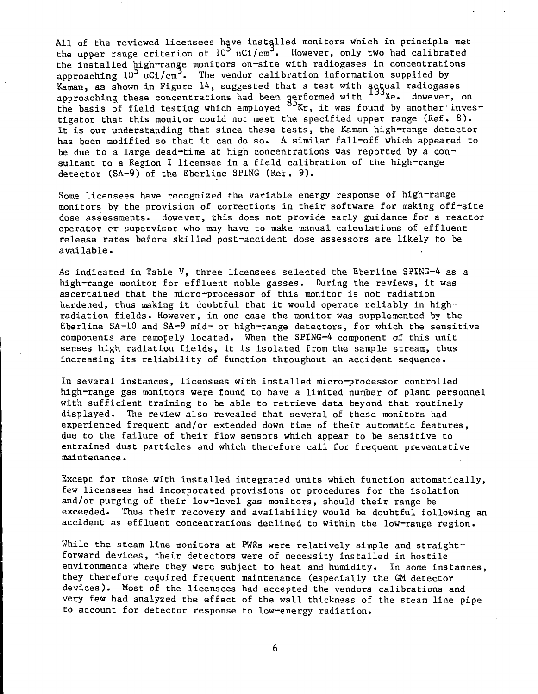All of the reviewed licensees have installed monitors which in principle met the upper range criterion of  $10^3$  uCi/cm<sup>3</sup>. However, only two had calibrated the installed high-range monitors on-site with radiogases in concentrations approaching  $10^3$  uCi/cm<sup>3</sup>. The vendor calibration information supplied by Kaman, as shown in Figure 14, suggested that a test with actual radiogases approaching these concentrations had been performed with <sup>199</sup>Xe. However, on the basis of field testing which employed  $^\mathsf{O\text{-}Kr}$ , it was found by another investigator that this monitor could not meet the specified upper range (Ref. 8). It is our understanding that since these tests, the Kaman high-range detector has been modified so that it can do so. A similar fall-off which appeared to be due to a large dead-time at high concentrations was reported by a consultant to a Region I licensee in a field calibration of the high-range detector (SA-9) of the Eberline SPING (Ref. 9).

Some licensees have recognized the variable energy response of high-range monitors by the provision of corrections in their software for making off-site dose assessments. However, this does not provide early guidance for a reactor operator or supervisor who may have to make manual calculations of effluent release rates before skilled post-accident dose assessors are likely to be available.

As indicated in Table V, three licensees selected the Eberline SPING-4 as a high-range monitor for effluent noble gasses. During the reviews, it was ascertained that the micro-processor of this monitor is not radiation hardened, thus making it doubtful that it would operate reliably in highradiation fields. However, in one case the monitor was supplemented by the Eberline SA-10 and SA-9 mid- or high-range detectors, for which the sensitive components are remotely located. When the SPING-4 component of this unit senses high radiation fields, it is isolated from the sample stream, thus increasing its reliability of function throughout an accident sequence.

In several instances, licensees with installed micro-processor controlled high-range gas monitors were found to have a limited number of plant personnel with sufficient training to be able to retrieve data beyond that routinely displayed. The review also revealed that several of these monitors had experienced frequent and/or extended down time of their automatic features, due to the failure of their flow sensors which appear to be sensitive to entrained dust particles and which therefore call for frequent preventative maintenance.

Except for those .with installed integrated units which function automatically, few licensees had incorporated provisions or procedures for the isolation and/or purging of their low-level gas monitors, should their range be exceeded. Thus their recovery and availability would be doubtful following an accident as effluent concentrations declined to within the low-range region.

While the steam line monitors at PWRs were relatively simple and straightforward devices, their detectors were of necessity installed in hostile environmenta where they were subject to heat and humidity. In some instances, they therefore required frequent maintenance (especially the GM detector devices). Most of the licensees had accepted the vendors calibrations and very few had analyzed the effect of the wall thickness of the steam line pipe to account for detector response to low-energy radiation.

6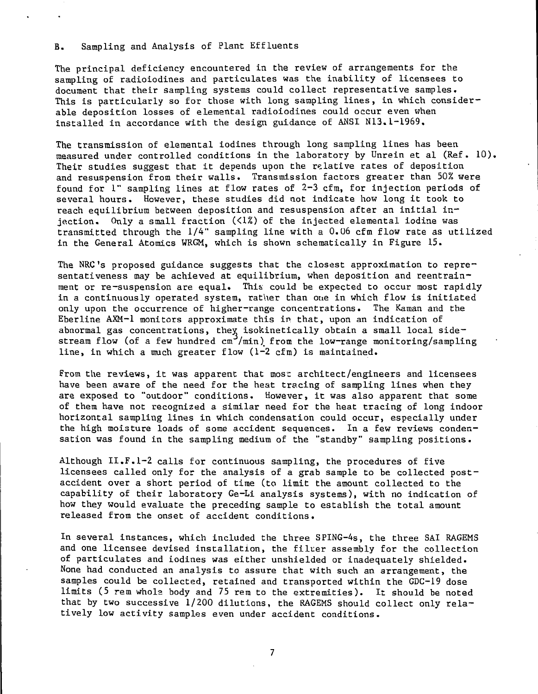B. Sampling and Analysis of Plant Effluents

The principal deficiency encountered in the review of arrangements for the sampling of radioiodines and particulates was the inability of licensees to document that their sampling systems could collect representative samples. This is particularly so for those with long sampling lines, in which considerable deposition losses of elemental radioiodines could occur even when installed in accordance with the design guidance of ANSI N13.1-1969.

The transmission of elemental iodines through long sampling lines has been measured under controlled conditions in the laboratory by Unrein et al (Ref. 10), Their studies suggest that it depends upon the relative rates of deposition and resuspension from their walls. Transmission factors greater than 50% were found for  $l$ " sampling lines at flow rates of  $2-3$  cfm, for injection periods of several hours. However, these studies did not indicate how long it took to reach equilibrium between deposition and resuspension after an initial injection. Only a small fraction (<1%) of the injected elemental iodine was transmitted through the 1/4" sampling line with a 0.06 cfm flow rate as utilized in the General Atomics WRGM, which is shown schematically in Figure 15.

The NRC's proposed guidance suggests that the closest approximation to repre~ sentativeness may be achieved at equilibrium, when deposition and reentrainment or re-suspension are equal. This could be expected to occur most rapidly in a continuously operated system, rather than one in which flow is initiated only upon the occurrence of higher-range concentrations. The Kaman and the Eberline AXM-1 monitors approximate this in that, upon an indication of abnormal gas concentrations, they isokinetically obtain a small local sidestream flow (of a few hundred  $cm^2/min$ ) from the low-range monitoring/sampling line, in which a much greater flow (1-2 cfm) is maintained.

From the reviews, it was apparent that most architect/engineers and licensees have been aware of the need for the heat tracing of sampling lines when they are exposed to "outdoor" conditions. However, it was also apparent that some of them have not recognized a similar need for the heat tracing of long indoor horizontal sampling lines in which condensation could occur, especially under the high moisture loads of some accident sequences. In a few reviews condensation was found in the sampling medium of the "standby" sampling positions.

Although II.F.1-2 calls for continuous sampling, the procedures of five licensees called only for the analysis of a grab sample to be collected postaccident over a short period of time (to limit the amount collected to the capability of their laboratory Ge-Li analysis systems), with no indication of how they would evaluate the preceding sample to establish the total amount released from the onset of accident conditions.

In several instances, which included the three SPING-4s, the three SAI RAGEMS and one licensee devised installation, the filter assembly for the collection of particulates and iodines was either unshielded or inadequately shielded. None had conducted an analysis to assure that with such an arrangement, the samples could be collected, retained and transported within the GDC-19 dose limits (5 rem whole body and 75 rem to the extremities). It should be noted that by two successive 1/200 dilutions, the RAGEMS should collect only relatively low activity samples even under accident conditions.

 $\overline{7}$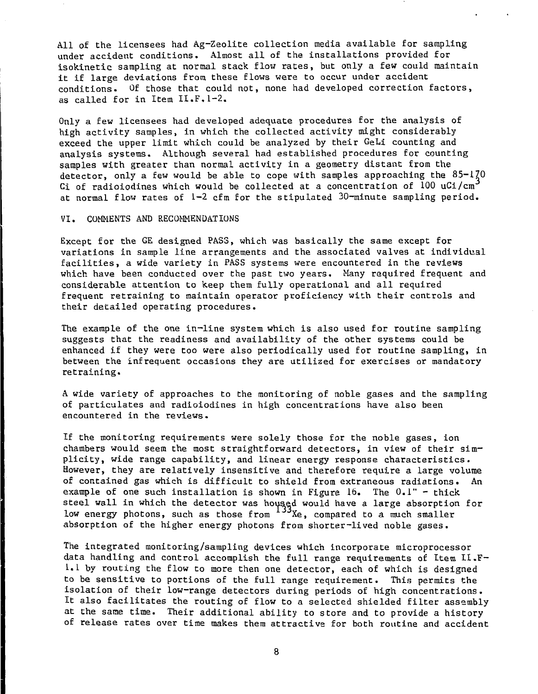All of the licensees had Ag-Zeolite collection media available for sampling under accident conditions. Almost all of the installations provided for isokinetic sampling at normal stack flow rates, but only a few could maintain it if large deviations from these flows were to occur under accident conditions. Of those that could not, none had developed correction factors, as called for in Item II.F.1-2.

Only a few licensees had developed adequate procedures for the analysis of high activity samples, in which the collected activity might considerably exceed the upper limit which could be analyzed by their GeLi counting and analysis systems. Although several had established procedures for counting samples with greater than normal activity in a geometry distant from the detector, only a few would be able to cope with samples approaching the  $85-170$ Gi of radioiodines which would be collected at a concentration of 100 uCi/cm at normal flow rates of  $l-2$  cfm for the stipulated  $30$ -minute sampling period.

## VI, COMMENTS AND RECOMMENDATIONS

Except for the GE designed PASS, which was basically the same except for variations in sample line arrangements and the associated valves at individual facilities, a wide variety in PASS systems were encountered in the reviews which have been conducted over the past two years. Many required frequent and considerable attention to keep them fully operational and all required frequent retraining to maintain operator proficiency with their controls and their detailed operating procedures.

The example of the one in-line system which is also used for routine sampling suggests that the readiness and availability of the other systems could be enhanced if they were too were also periodically used for routine sampling, in between the infrequent occasions they are utilized for exercises or mandatory retraining.

A wide variety of approaches to the monitoring of noble gases and the sampling of particulates and radioiodines in high concentrations have also been encountered in the reviews.

If the monitoring requirements were solely those for the noble gases, ion chambers would seem the most straightforward detectors, in view of their simplicity, wide range capability, and linear energy response characteristics. However, they are relatively insensitive and therefore require a large volume of contained gas which is difficult to shield from extraneous radiations. An example of one such installation is shown in Figure 16. The  $0.1"$  - thick steel wall in which the detector was housed would have a large absorption for low energy photons, such as those from <sup>100</sup>Xe, compared to a much smaller absorption of the higher energy photons from shorter-lived noble gases.

The integrated monitoring/sampling devices which incorporate microprocessor data handling and control accomplish the full range requirements of Item II.F-1.1 by routing the flow to more then one detector, each of which is designed to be sensitive to portions of the full range requirement. This permits the isolation of their low-range detectors during periods of high concentrations. It also facilitates the routing of flow to a selected shielded filter assembly at the same time. Their additional ability to store and to provide a history of release rates over time makes them attractive for both routine and accident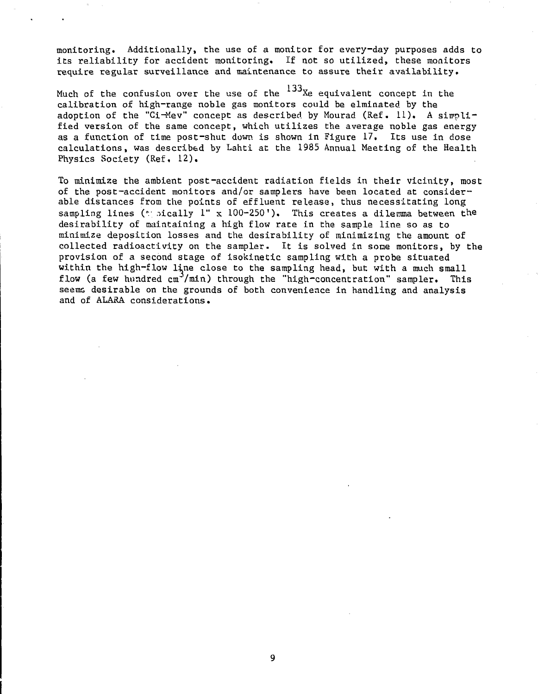monitoring. Additionally, the use of a monitor for every-day purposes adds to its reliability for accident monitoring. If not so utilized, these monitors require regular surveillance and maintenance to assure their availability.

Much of the confusion over the use of the  $^{133}\rm{Xe}$  equivalent concept in the calibration of high-range noble gas monitors could be elminated by the adoption of the "Ci-Mev" concept as described by Mourad (Ref. 11). A simplified version of the same concept, which utilizes the average noble gas energy as a function of time post-shut down is shown in Figure 17, Its use in dose calculations, was described by Lahti at the 1985 Annual Meeting of the Health Physics Society (Ref, 12).

To minimize the ambient post-accident radiation fields in their vicinity, most of the post-accident monitors and/or samplers have been located at considerable distances from the points of effluent release, thus necessitating long sampling lines ( $t$  pically 1" x 100-250"). This creates a dilemma between the desirability of maintaining a high flow rate in the sample line so as to minimize deposition losses and the desirability of minimizing the amount of collected radioactivity on the sampler. It is solved in sone monitors, by the provision of a second stage of isokinetic sampling with a probe situated within the high-flow line close to the sampling head, but with a much small flow (a few hundred cm<sup>-</sup>/min) through the "high-concentration" sampler. This seems desirable on the grounds of both convenience in handling and analysis and of ALARA considerations.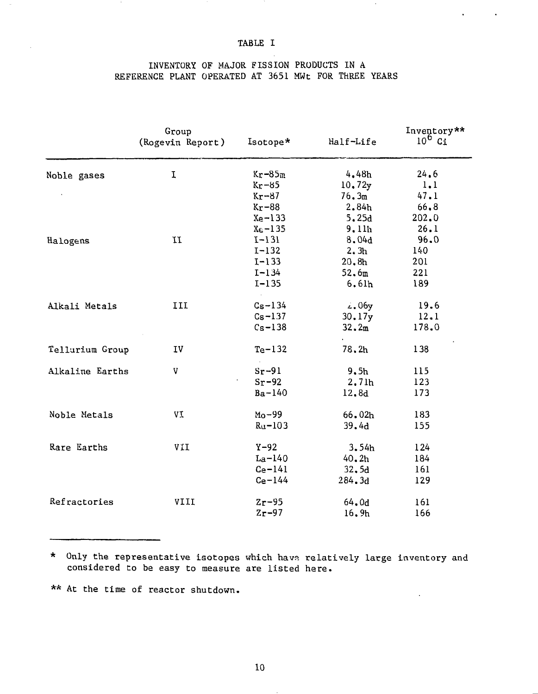## TABLE I

 $\mathbf{r} = \mathbf{r} \times \mathbf{r}$ 

 $\sim$ 

## INVENTORY OF MAJOR FISSION PRODUCTS IN A REFERENCE PLANT OPERATED AT 3651 MWt FOR THREE YEARS

|                 | Group<br>(Rogevin Report) | Isotope*    | Half-Life          | Inventory**<br>$10^6$ Ci |
|-----------------|---------------------------|-------------|--------------------|--------------------------|
| Noble gases     | I                         | $Kr-85m$    | 4,48h              | 24.6                     |
|                 |                           | $Kr-85$     | 10.72y             | 1.1                      |
|                 |                           | $Kr-87$     | 76.3 <sub>m</sub>  | 47.1                     |
|                 |                           | $Kr-88$     | 2.84h              | 66.8                     |
|                 |                           | $Xe-133$    | 5.25d              | 202.0                    |
|                 |                           | $X6-135$    | 9.11h              | 26.1                     |
| Halogens        | $\bm{I}\bm{I}$            | $1 - 131$   | 8.04d              | 96.0                     |
|                 |                           | $I - 132$   | 2.3 <sub>h</sub>   | 140                      |
|                 |                           | $I - 133$   | 20.8 <sub>h</sub>  | 201                      |
|                 |                           | $I - 134$   | 52.6 <sub>m</sub>  | 221                      |
|                 |                           | $I-135$     | 6.61 <sub>h</sub>  | 189                      |
| Alkali Metals   | III                       | $Cs - 134$  | $\sim 06$ y        | 19.6                     |
|                 |                           | $Cs - 137$  | 30.17y             | 12.1                     |
|                 |                           | $Cs-138$    | 32.2 <sub>m</sub>  | 178.0                    |
|                 |                           |             |                    |                          |
| Tellurium Group | IV                        | $Te-132$    | 78.2h              | 138                      |
| Alkaline Earths | v                         | $Sr-91$     | 9.5 <sub>h</sub>   | 115                      |
|                 |                           | $Sr-92$     | 2.7lh              | 123                      |
|                 |                           | $Ba-140$    | 12.8d              | 173                      |
| Noble Metals    | VI                        | $Mo-99$     | 66.02 <sub>h</sub> | 183                      |
|                 |                           | $Ru-103$    | 39.4d              | 155                      |
|                 |                           |             |                    |                          |
| Rare Earths     | VII                       | $Y-92$      | 3.54h              | 124                      |
|                 |                           | $La-140$    | 40.2 <sub>h</sub>  | 184                      |
|                 |                           | $Ce-141$    | 32.5d              | 161                      |
|                 |                           | $Ce-144$    | 284.3d             | 129                      |
| Refractories    | VIII                      | $z_{r}$ -95 | 64.0d              | 161                      |
|                 |                           | $Zr-97$     | 16.9 <sub>h</sub>  | 166                      |

\* Only the representative isotopes which have relatively large inventory and considered to be easy to measure are listed here.

\*\* At the time of reactor shutdown.

10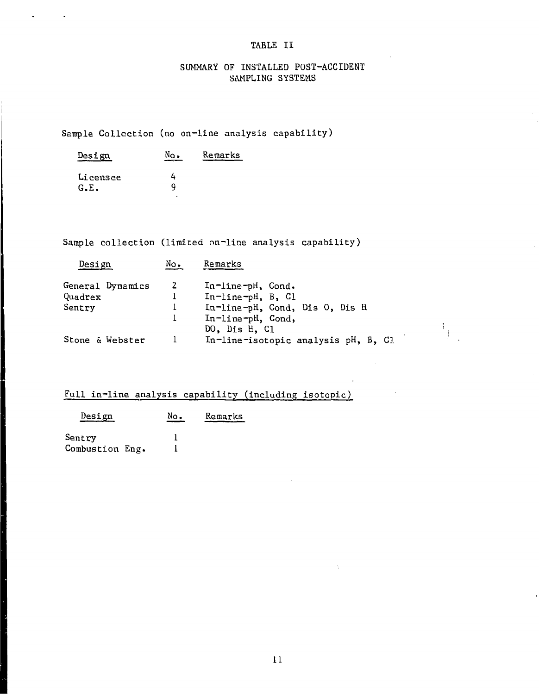## TABLE II

## SUMMARY OF INSTALLED POST-ACCIDENT SAMPLING SYSTEMS

## Sample Collection (no on-line analysis capability)

| Design           | No. | Remarks |
|------------------|-----|---------|
| Licensee<br>G.E. | Q   |         |

 $\mathbf{r}$ 

 $\mathbf{r}$ 

Sample collection (limited on-line analysis capability)

| Design           | No.            | Remarks                             |
|------------------|----------------|-------------------------------------|
| General Dynamics | $\overline{2}$ | In-line-pH, Cond.                   |
| Quadrex          |                | In-line-pH, B, Cl                   |
| Sentry           |                | In-line-pH, Cond, Dis 0, Dis H      |
|                  |                | In-line-pH, Cond,<br>DO, Dis H, C1  |
| Stone & Webster  |                | In-line-isotopic analysis pH, B, Cl |

 $\frac{1}{4}$ 

## Full in-line analysis capability (including isotopic)

| <u>Design</u>   | No. | Remarks |
|-----------------|-----|---------|
| Sentry          |     |         |
| Combustion Eng. |     |         |

 $\frac{1}{2}$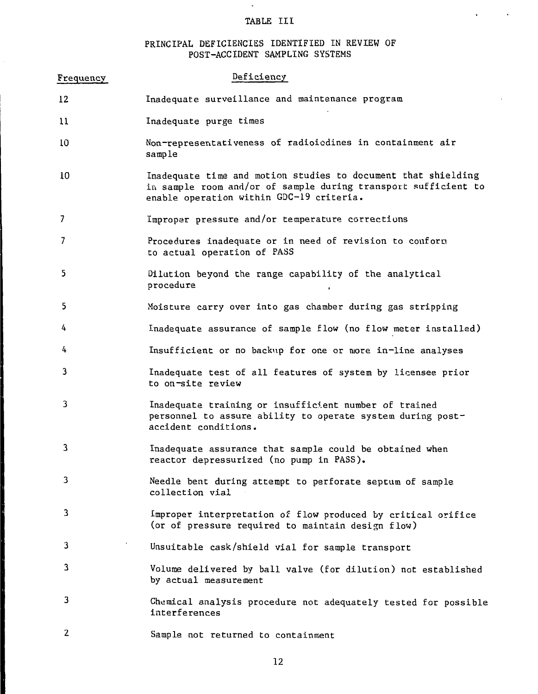## TABLE III

 $\mathbf{q} = \mathbf{q} \times \mathbf{q}$  ,  $\mathbf{q} = \mathbf{q}$ 

 $\sim$ 

## PRINCIPAL DEFICIENCIES IDENTIFIED IN REVIEW OF POST-ACCIDENT SAMPLING SYSTEMS

| Frequency      | Deficiency                                                                                                                                                                  |
|----------------|-----------------------------------------------------------------------------------------------------------------------------------------------------------------------------|
| 12             | Inadequate surveillance and maintenance program                                                                                                                             |
| $_{11}$        | Inadequate purge times                                                                                                                                                      |
| 10             | Non-representativeness of radioicdines in containment air<br>sample                                                                                                         |
| 10             | Inadequate time and motion studies to document that shielding<br>in sample room and/or of sample during transport sufficient to<br>enable operation within GDC-19 criteria. |
| $\overline{7}$ | Improper pressure and/or temperature corrections                                                                                                                            |
| 7              | Procedures inadequate or in need of revision to conform<br>to actual operation of PASS                                                                                      |
| 5              | Dilution beyond the range capability of the analytical<br>procedure                                                                                                         |
| 5.             | Moisture carry over into gas chamber during gas stripping                                                                                                                   |
| 4              | Inadequate assurance of sample flow (no flow meter installed)                                                                                                               |
| 4              | Insufficient or no backup for one or more in-line analyses                                                                                                                  |
| 3              | Inadequate test of all features of system by licensee prior<br>to on-site review                                                                                            |
| 3              | Inadequate training or insufficient number of trained<br>personnel to assure ability to operate system during post-<br>accident conditions.                                 |
| 3              | Inadequate assurance that sample could be obtained when<br>reactor depressurized (no pump in PASS).                                                                         |
| 3              | Needle bent during attempt to perforate septum of sample<br>collection vial                                                                                                 |
| 3              | Improper interpretation of flow produced by critical orifice<br>(or of pressure required to maintain design flow)                                                           |
| 3              | Unsuitable cask/shield vial for sample transport                                                                                                                            |
| 3              | Volume delivered by ball valve (for dilution) not established<br>by actual measurement                                                                                      |
| 3              | Chemical analysis procedure not adequately tested for possible<br>interferences                                                                                             |
| 2              | Sample not returned to containment                                                                                                                                          |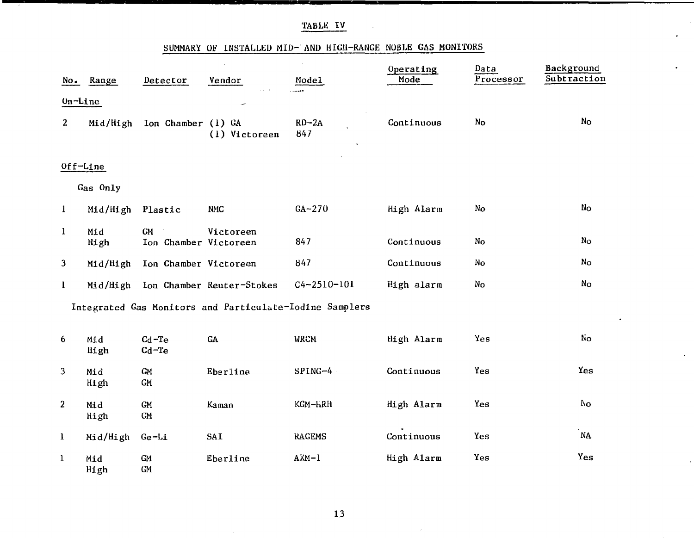| TABLE |  |
|-------|--|
|       |  |

## SUMMARY OF INSTALLED MID- AND HIGH-RANGE NOBLE GAS MONITORS

 $\bullet$ 

 $\bullet$ 

 $\bullet$ 

 $\ddot{\phantom{a}}$ 

|                | No. Range        | Detector                           | Vendor                                                  | Model             | Operating<br>Mode | Data<br>Processor | Background<br>Subtraction |
|----------------|------------------|------------------------------------|---------------------------------------------------------|-------------------|-------------------|-------------------|---------------------------|
| $On$ -Line     |                  |                                    |                                                         |                   |                   |                   |                           |
| $\overline{2}$ |                  | Mid/High Ion Chamber (1) GA        | (1) Victoreen                                           | $RD-2A$<br>847    | Continuous        | No                | No                        |
|                | Off-Line         |                                    |                                                         |                   |                   |                   |                           |
|                | Gas Only         |                                    |                                                         |                   |                   |                   |                           |
| $\mathbf{1}$   | Mid/High Plastic |                                    | <b>NMC</b>                                              | $GA-270$          | High Alarm        | No                | No                        |
| $\mathbf{1}$   | Mid<br>High      | <b>GM</b><br>Ion Chamber Victoreen | Victoreen                                               | 847               | Continuous        | No                | No                        |
| 3              | Mid/High         | Ion Chamber Victoreen              |                                                         | 847               | Continuous        | No                | No                        |
| I.             |                  |                                    | Mid/High Ion Chamber Reuter-Stokes                      | $C4 - 2510 - 101$ | High alarm        | No                | N <sub>O</sub>            |
|                |                  |                                    | Integrated Gas Monitors and Particulate-Iodine Samplers |                   |                   |                   |                           |
| 6              | Mid<br>High      | $Cd-Te$<br>$Cd-Te$                 | GA                                                      | <b>WRCM</b>       | High Alarm        | Yes               | No                        |
| 3              | Mid<br>High      | GM<br>${\rm GM}$                   | Eberline                                                | $SPING-4$         | Continuous        | Yes               | Yes                       |
| $\overline{a}$ | Mid<br>High      | ${\rm GM}$<br>${\sf GM}$           | Kaman                                                   | KGM-HRH           | High Alarm        | Yes               | No                        |
| $\bf{l}$       | Mid/High         | $Ge-Li$                            | SAI                                                     | <b>RAGEMS</b>     | Continuous        | Yes               | .<br>NA                   |
| $\mathbf{1}$   | Mid<br>High      | ${\bf GM}$<br>GM                   | Eberline                                                | $AXM-1$           | High Alarm        | Yes               | Yes                       |

 $\sim 10^7$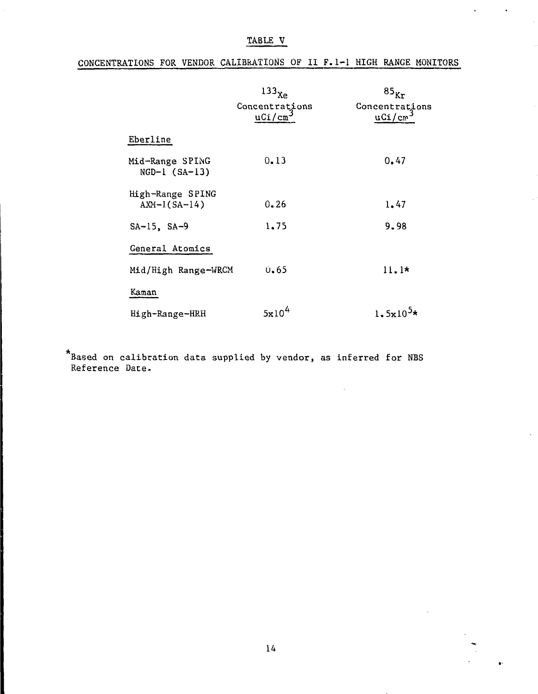TABLE V

| CONCENTRATIONS FOR VENDOR CALIBRATIONS OF II F. 1-1 HIGH RANGE MONITORS |  |  |  |  |  |
|-------------------------------------------------------------------------|--|--|--|--|--|
|                                                                         |  |  |  |  |  |

|                                    | 133 <sub>Xe</sub><br>Concentrations<br>uCi/cm <sup>3</sup> | $85_{\text{Kr}}$<br>Concentrations<br>$uCi/cm^3$ |
|------------------------------------|------------------------------------------------------------|--------------------------------------------------|
| Eberline                           |                                                            |                                                  |
| Mid-Range SPING<br>$NGD-1 (SA-13)$ | 0.13                                                       | 0.47                                             |
| High-Range SPING<br>$AXM-1(SA-14)$ | $0 - 26$                                                   | 1.47                                             |
| $SA-15$ , $SA-9$                   | 1.75                                                       | 9.98                                             |
| General Atomics                    |                                                            |                                                  |
| Mid/High Range-WRCM                | 0.65                                                       | $11.1*$                                          |
| Kaman                              |                                                            |                                                  |
| High-Range-HRH                     | 5x10 <sup>4</sup>                                          | $1.5x10^{5*}$                                    |

Based on calibration data supplied by vendor, as inferred for NBS Reference Date.

 $\ddot{\bullet}$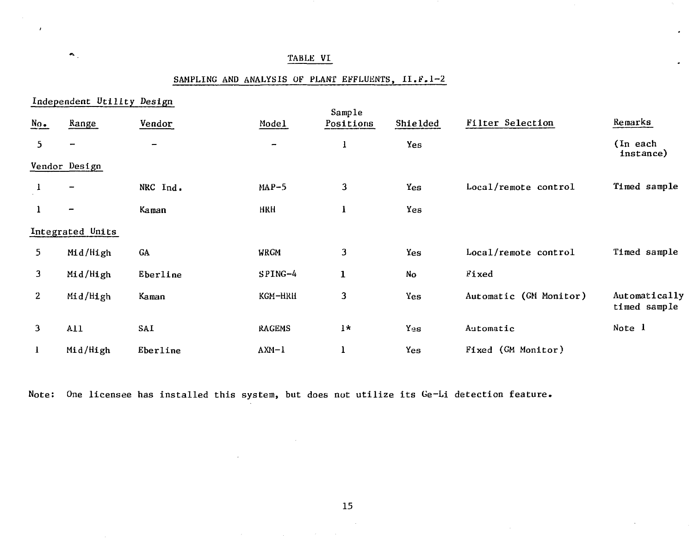## TABLE VI

 $\bullet$  .

# SAMPLING AND ANALYSIS OF PLANT EFFLUENTS, II.F.1-2

|                                                  | Independent Utility Design   |                          |               |                     |                |                        |                               |
|--------------------------------------------------|------------------------------|--------------------------|---------------|---------------------|----------------|------------------------|-------------------------------|
| $\underline{\overset{N_{\Omega}}{\phantom{N}}.}$ | Range                        | Vendor                   | Model         | Sample<br>Positions | Shielded       | Filter Selection       | Remarks                       |
| 5                                                | $\overline{\phantom{0}}$     | $\overline{\phantom{0}}$ | -             | ı                   | Yes            |                        | (In each<br>instance)         |
|                                                  | Vendor Design                |                          |               |                     |                |                        |                               |
| 1                                                |                              | NRC Ind.                 | $MAP-5$       | 3                   | Yes            | Local/remote control   | Timed sample                  |
| 1                                                | $\qquad \qquad \blacksquare$ | Kaman                    | <b>HRH</b>    | T.                  | Yes            |                        |                               |
|                                                  | Integrated Units             |                          |               |                     |                |                        |                               |
| 5.                                               | Mid/High                     | GA                       | <b>WRGM</b>   | 3                   | Yes            | Local/remote control   | Timed sample                  |
| $\mathbf{3}$                                     | Mid/High                     | Eberline                 | SPING-4       | $\mathbf{1}$        | N <sub>O</sub> | Fixed                  |                               |
| 2 <sup>1</sup>                                   | Mid/High                     | Kaman                    | KGM-HRH       | 3                   | Yes            | Automatic (GM Monitor) | Automatically<br>timed sample |
| 3                                                | A11                          | SAI                      | <b>RAGEMS</b> | $1*$                | Yes            | Automatic              | Note 1                        |
| $\bf{l}$                                         | Mid/High                     | Eberline                 | $AXM-1$       | 1                   | Yes            | Fixed (GM Monitor)     |                               |

Note: One licensee has installed this system, but does not utilize its Ge-Li detection feature.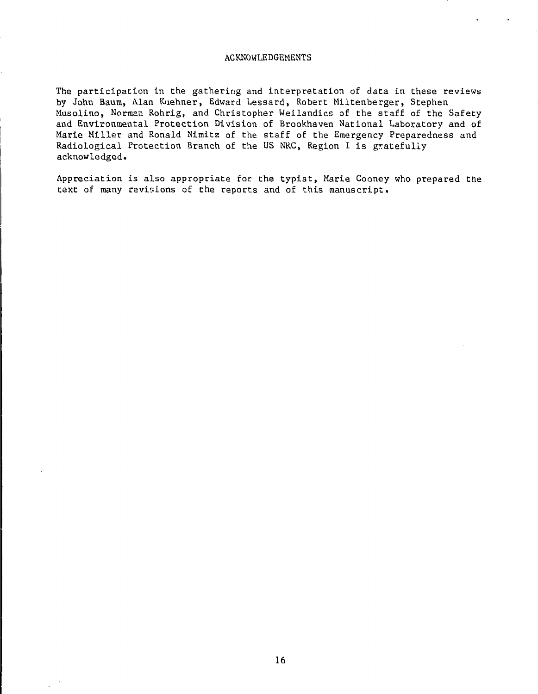#### ACKNOWLEDGEMENTS

The participation in the gathering and interpretation of data in these reviews by John Baum, Alan Kuehner, Edward Lessard, Robert Miltenberger, Stephen Musolino, Norman Rohrig, and Christopher Weilandics of the staff of the Safety and Environmental Protection Division of Brookhaven National Laboratory and of Marie Miller and Ronald Nimitz of the staff of the Emergency Preparedness and Radiological Protection Branch of the US NRC, Region I is gratefully acknowledged.

Appreciation is also appropriate for the typist, Marie Cooney who prepared the text of many revisions of the reports and of this manuscript.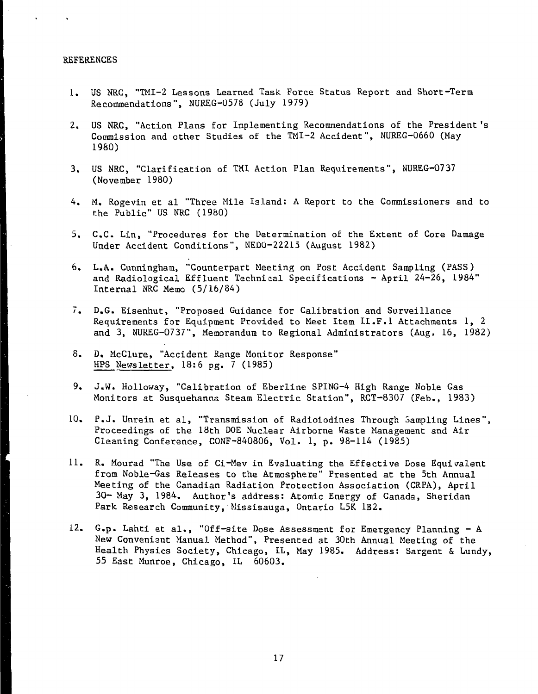#### REFERENCES

- 1. US NRC, "TMI-2 Lessons Learned Task Force Status Report and Short-Term Recommendations", NUREG-0578 (July 1979)
- 2. US NRC, "Action Plans for Implementing Recommendations of the President 's Commission and other Studies of the TMI-2 Accident", NUREG-0660 (May 1980)
- 3. US NRC, "Clarification of TMI Action Plan Requirements", NUREG-0737 (November 1980)
- 4. M. Rogevin et al "Three Mile Island: A Report to the Commissioners and to the Public" US NRC (1980)
- 5. C.C. Lin, "Procedures for the Determination of the Extent of Core Damage Under Accident Conditions", NEQO-22215 (August 1982)
- 6. L.A. Cunningham, "Counterpart Meeting on Post Accident Sampling (PASS) and Radiological Effluent Technical Specifications - April 24-26, 1984" Internal NRC Memo (5/16/84)
- 7. D.G. Eisenhut, "Proposed Guidance for Calibration and Surveillance Requirements for Equipment Provided to Meet Item II.F.I Attachments 1, 2 and 3, NUREG-0737", Memorandum to Regional Administrators (Aug. 16, 1982)
- 8. D, McClure, "Accident Range Monitor Response" HPS Newsletter, 18:6 pg. 7 (1985)
- 9. J.W. Holloway, "Calibration of Eberline SPING-4 High Range Noble Gas Monitors at Susquehanna Steam Electric Station", RCT-8307 (Feb., 1983)
- 10. P.J. Unrein et al, "Transmission of Radioiodines Through Sampling Lines", Proceedings of the 18th DOE Nuclear Airborne Waste Management and Air Cleaning Conference, CONF-840806, Vol. 1, p. 98-114 (1985)
- 11. R. Mourad "The Use of Ci-Mev in Evaluating the Effective Dose Equivalent from Noble-Gas Releases to the Atmosphere" Presented at the 5th Annual Meeting of the Canadian Radiation Protection Association (CRPA), April 30- May 3, 1984. Author's address: Atomic Energy of Canada, Sheridan Park Research Community, Missisauga, Ontario L5K 1B2.
- 12. G.p. Lahti et al., "Off-site Dose Assessment for Emergency Planning A New Convenient Manual Method", Presented at 30th Annual Meeting of the Health Physics Society, Chicago, IL, May 1985. Address: Sargent & Lundy, 55 East Munroe, Chicago, IL 60603.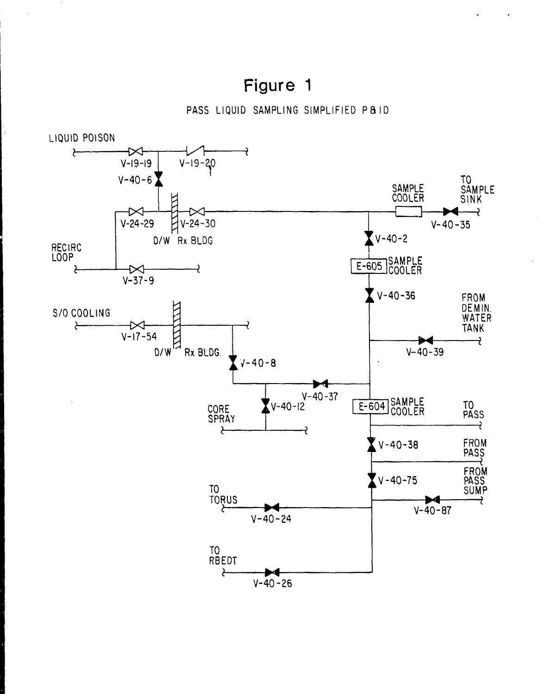# Figure 1

 $\bar{z}$ 

PASS LIQUID SAMPLING SIMPLIFIED PAID

 $\bullet$ 

¥.

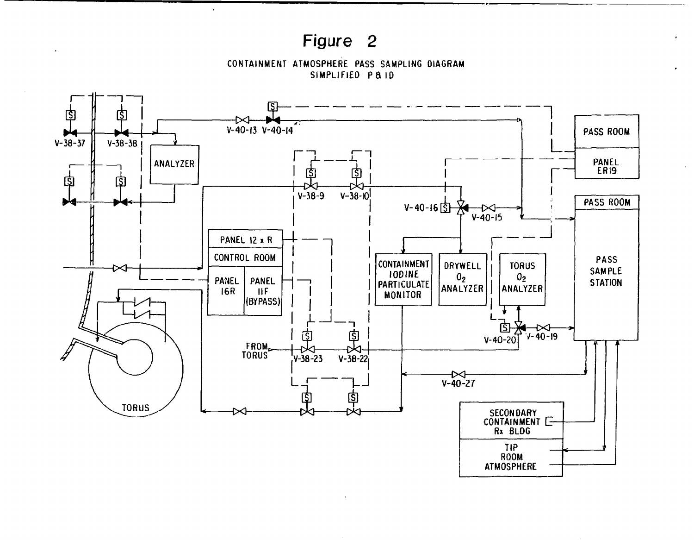# Figure 2

 $\overline{a}$ 

CONTAINMENT ATMOSPHERE PASS SAMPLING DIAGRAM SIMPLIFIED PAID

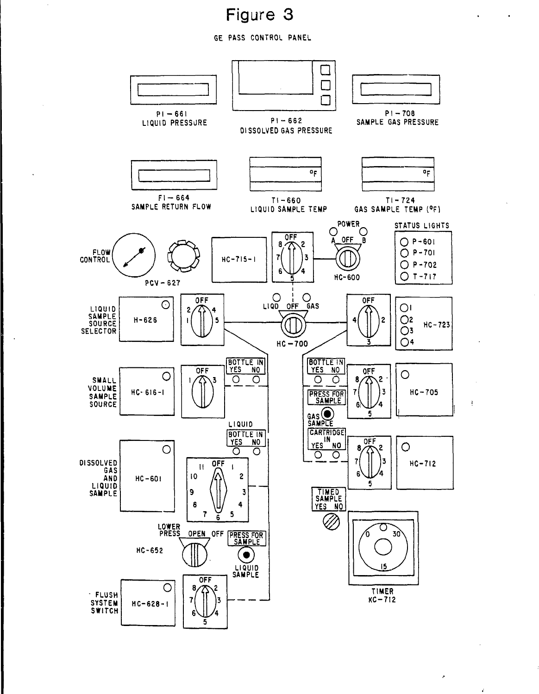# Figure 3

 $\blacksquare$ 

 $\frac{1}{2}$ 

 $\lambda$ 

 $\mathbf{r}$ 

**GE PASS CONTROL PANEL**

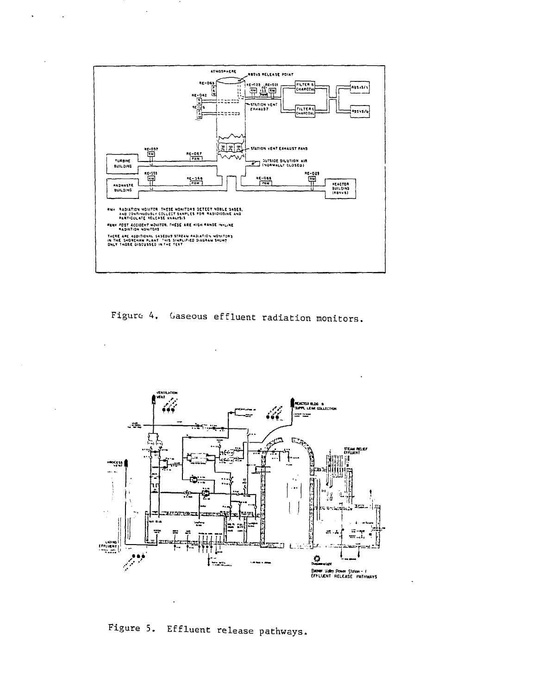

 $\overline{a}$ 

Figure 4. Gaseous effluent radiation monitors.



Figure 5. Effluent release pathways.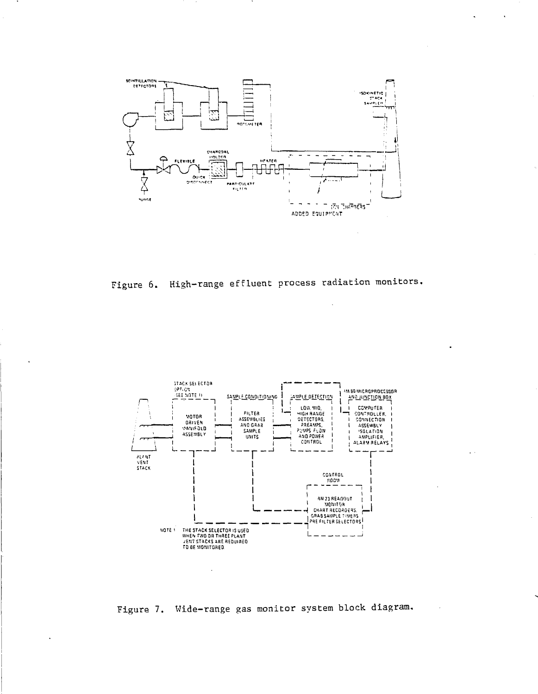

Figure 6. High-range effluent process radiation monitors.



Figure 7. Wide-range gas monitor system block diagram.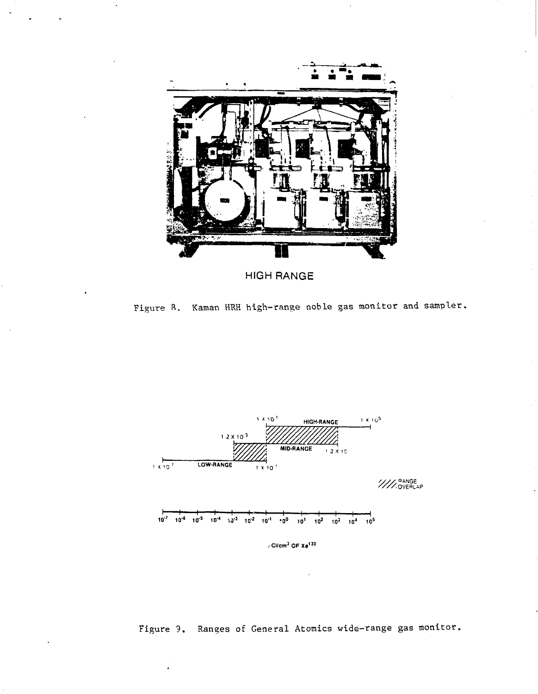

**HIGH RANGE** 

Figure 8. Kaman HRH high-range noble gas monitor and sampler.



Figure 9. Ranges of General Atomics wide-range gas monitor.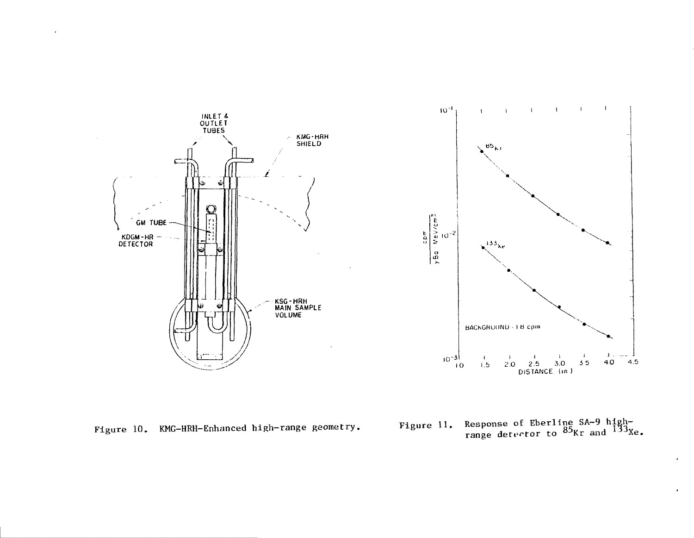



Figure 10. KMG-HRH-Enhanced high-range geometry.

Figure 11. Response of Eberline SA-9 high-<br>range detector to  $^{85}$ Kr and  $^{133}$ Xe.

 $\bullet$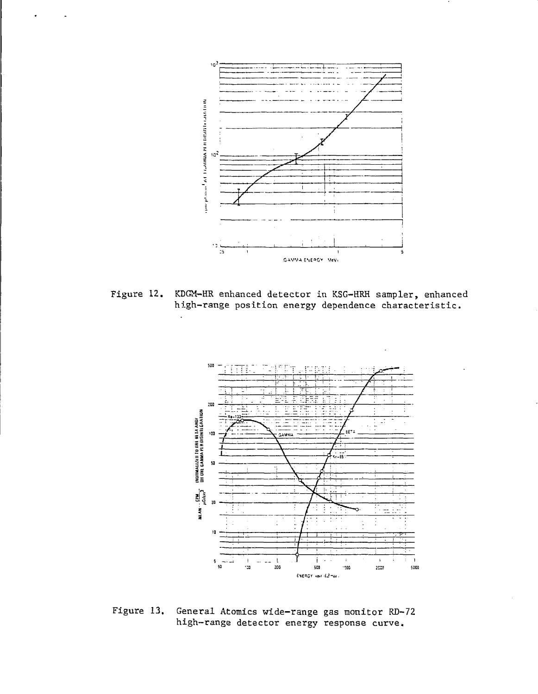

KDGM-HR enhanced detector in KSG-HRH sampler, enhanced Figure 12. high-range position energy dependence characteristic.

 $\ddot{\phantom{a}}$ 



Figure 13. General Atomics wide-range gas monitor RD-72 high-range detector energy response curve.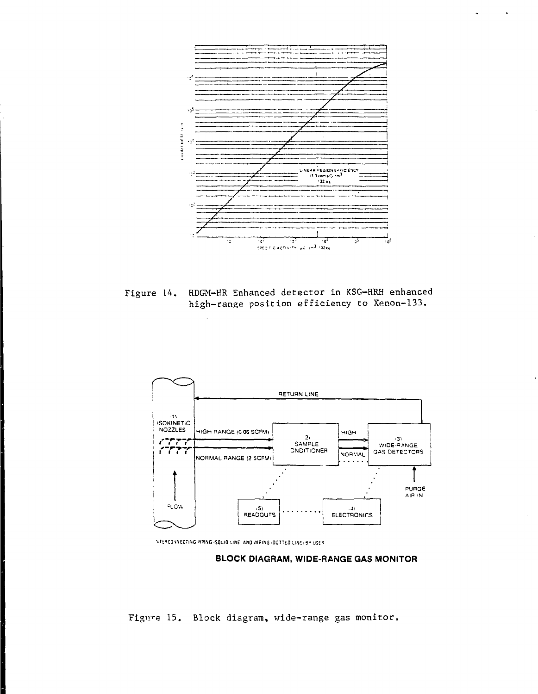

HDGM-HR Enhanced detector in KSG-HRH enhanced Figure 14. high-range position efficiency to Xenon-133.



NTERCONNECTING PIPING (SQLID LINE) AND WIRING (DOTTED LINE) BY USER

## BLOCK DIAGRAM, WIDE-RANGE GAS MONITOR

Figure 15. Block diagram, wide-range gas monitor.